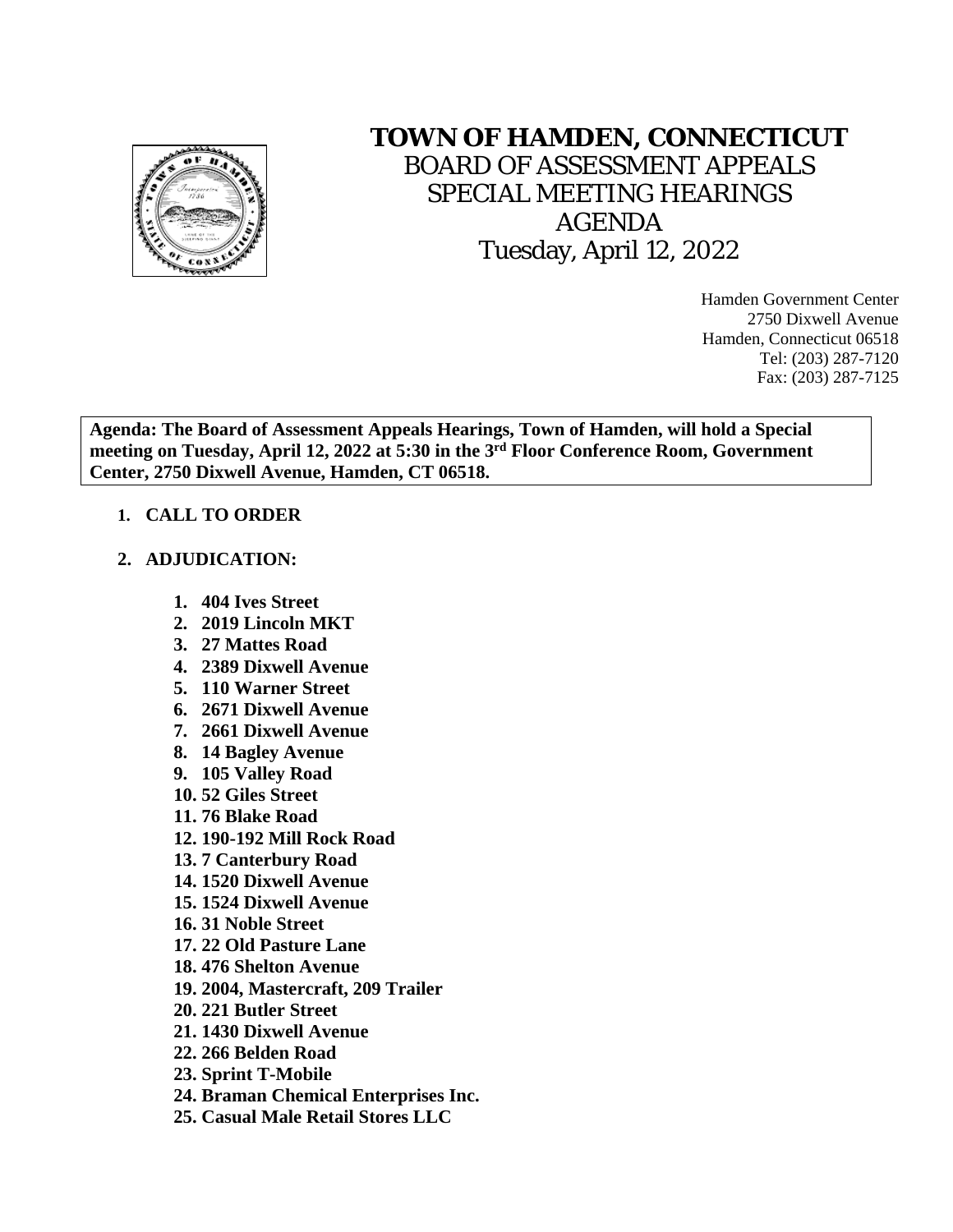

# **TOWN OF HAMDEN, CONNECTICUT**

BOARD OF ASSESSMENT APPEALS SPECIAL MEETING HEARINGS AGENDA Tuesday, April 12, 2022

> Hamden Government Center 2750 Dixwell Avenue Hamden, Connecticut 06518 Tel: (203) 287-7120 Fax: (203) 287-7125

**Agenda: The Board of Assessment Appeals Hearings, Town of Hamden, will hold a Special meeting on Tuesday, April 12, 2022 at 5:30 in the 3rd Floor Conference Room, Government Center, 2750 Dixwell Avenue, Hamden, CT 06518.**

## **1. CALL TO ORDER**

#### **2. ADJUDICATION:**

- **1. 404 Ives Street**
- **2. 2019 Lincoln MKT**
- **3. 27 Mattes Road**
- **4. 2389 Dixwell Avenue**
- **5. 110 Warner Street**
- **6. 2671 Dixwell Avenue**
- **7. 2661 Dixwell Avenue**
- **8. 14 Bagley Avenue**
- **9. 105 Valley Road**
- **10. 52 Giles Street**
- **11. 76 Blake Road**
- **12. 190-192 Mill Rock Road**
- **13. 7 Canterbury Road**
- **14. 1520 Dixwell Avenue**
- **15. 1524 Dixwell Avenue**
- **16. 31 Noble Street**
- **17. 22 Old Pasture Lane**
- **18. 476 Shelton Avenue**
- **19. 2004, Mastercraft, 209 Trailer**
- **20. 221 Butler Street**
- **21. 1430 Dixwell Avenue**
- **22. 266 Belden Road**
- **23. Sprint T-Mobile**
- **24. Braman Chemical Enterprises Inc.**
- **25. Casual Male Retail Stores LLC**